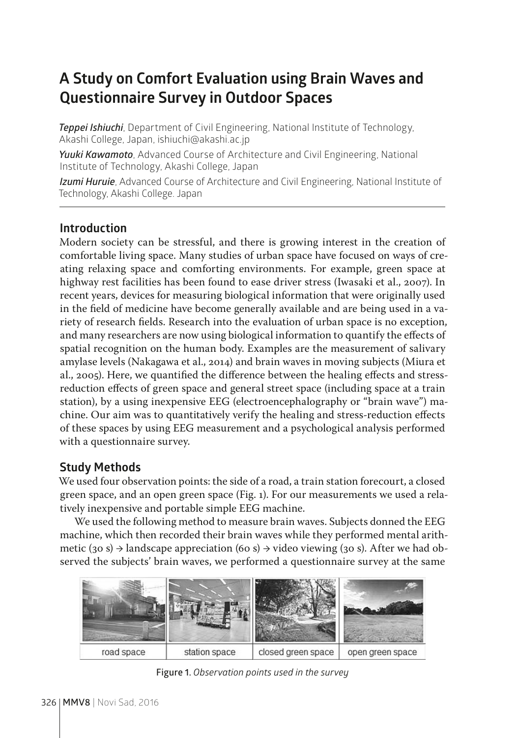# **A Study on Comfort Evaluation using Brain Waves and Questionnaire Survey in Outdoor Spaces**

*Teppei Ishiuchi*, Department of Civil Engineering, National Institute of Technology, Akashi College, Japan, ishiuchi@akashi.ac.jp

*Yuuki Kawamoto*, Advanced Course of Architecture and Civil Engineering, National Institute of Technology, Akashi College, Japan

*Izumi Huruie*, Advanced Course of Architecture and Civil Engineering, National Institute of Technology, Akashi College. Japan

### **Introduction**

Modern society can be stressful, and there is growing interest in the creation of comfortable living space. Many studies of urban space have focused on ways of creating relaxing space and comforting environments. For example, green space at highway rest facilities has been found to ease driver stress (Iwasaki et al., 2007). In recent years, devices for measuring biological information that were originally used in the field of medicine have become generally available and are being used in a variety of research fields. Research into the evaluation of urban space is no exception, and many researchers are now using biological information to quantify the effects of spatial recognition on the human body. Examples are the measurement of salivary amylase levels (Nakagawa et al., 2014) and brain waves in moving subjects (Miura et al., 2005). Here, we quantified the difference between the healing effects and stressreduction effects of green space and general street space (including space at a train station), by a using inexpensive EEG (electroencephalography or "brain wave") machine. Our aim was to quantitatively verify the healing and stress-reduction effects of these spaces by using EEG measurement and a psychological analysis performed with a questionnaire survey.

## **Study Methods**

We used four observation points: the side of a road, a train station forecourt, a closed green space, and an open green space (Fig. 1). For our measurements we used a relatively inexpensive and portable simple EEG machine.

We used the following method to measure brain waves. Subjects donned the EEG machine, which then recorded their brain waves while they performed mental arithmetic (30 s)  $\rightarrow$  landscape appreciation (60 s)  $\rightarrow$  video viewing (30 s). After we had observed the subjects' brain waves, we performed a questionnaire survey at the same



**Figure 1.** *Observation points used in the survey*